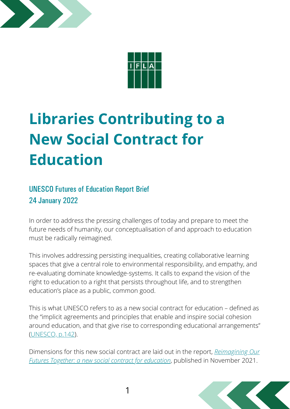



# **Libraries Contributing to a New Social Contract for Education**

## UNESCO Futures of Education Report Brief 24 January 2022

In order to address the pressing challenges of today and prepare to meet the future needs of humanity, our conceptualisation of and approach to education must be radically reimagined.

This involves addressing persisting inequalities, creating collaborative learning spaces that give a central role to environmental responsibility, and empathy, and re-evaluating dominate knowledge-systems. It calls to expand the vision of the right to education to a right that persists throughout life, and to strengthen education's place as a public, common good.

This is what UNESCO refers to as a new social contract for education – defined as the "implicit agreements and principles that enable and inspire social cohesion around education, and that give rise to corresponding educational arrangements" [\(UNESCO,](https://unesdoc.unesco.org/ark:/48223/pf0000379707) p.142).

[Dimensions](https://unesdoc.unesco.org/ark:/48223/pf0000379707) for this new social contract are laid out in the report, *Reimagining Our Futures Together: a new social contract for education*, published in November 2021.

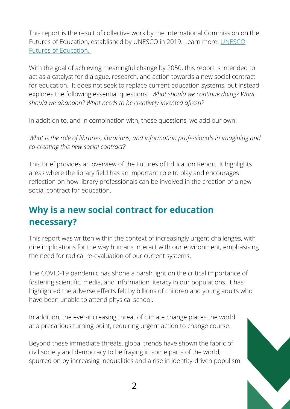This report is the result of collective work by the International Commission on the Futures of Education, established by UNESCO in 2019. Learn more: UNESCO Futures of Education.

With the goal of achieving meaningful change by 2050, this report is intended to act as a catalyst for dialogue, research, and action towards a new social contract for education. It does not seek to replace current education systems, but instead explores the following essential questions: *What should we continue doing? What should we abandon? What needs to be creatively invented afresh?*

In addition to, and in combination with, these questions, we add our own:

*What is the role of libraries, librarians, and information professionals in imagining and co-creating this new social contract?*

This brief provides an overview of the Futures of Education Report. It highlights areas where the library field has an important role to play and encourages reflection on how library professionals can be involved in the creation of a new social contract for education.

# **Why is a new social contract for education necessary?**

This report was written within the context of increasingly urgent challenges, with dire implications for the way humans interact with our environment, emphasising the need for radical re-evaluation of our current systems.

The COVID-19 pandemic has shone a harsh light on the critical importance of fostering scientific, media, and information literacy in our populations. It has highlighted the adverse effects felt by billions of children and young adults who have been unable to attend physical school.

In addition, the ever-increasing threat of climate change places the world at a precarious turning point, requiring urgent action to change course.

Beyond these immediate threats, global trends have shown the fabric of civil society and democracy to be fraying in some parts of the world, spurred on by increasing inequalities and a rise in identity-driven populism.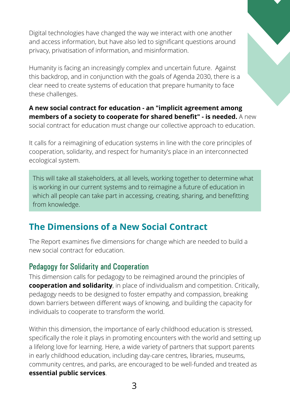Digital technologies have changed the way we interact with one another and access information, but have also led to significant questions around privacy, privatisation of information, and misinformation.

Humanity is facing an increasingly complex and uncertain future. Against this backdrop, and in conjunction with the goals of Agenda 2030, there is a clear need to create systems of education that prepare humanity to face these challenges.

**A new social contract for education - an "implicit agreement among members of a society to cooperate for shared benefit" - is needed.** A new social contract for education must change our collective approach to education.

It calls for a reimagining of education systems in line with the core principles of cooperation, solidarity, and respect for humanity's place in an interconnected ecological system.

This will take all stakeholders, at all levels, working together to determine what is working in our current systems and to reimagine a future of education in which all people can take part in accessing, creating, sharing, and benefitting from knowledge.

## **The Dimensions of a New Social Contract**

The Report examines five dimensions for change which are needed to build a new social contract for education.

#### Pedagogy for Solidarity and Cooperation

This dimension calls for pedagogy to be reimagined around the principles of **cooperation and solidarity**, in place of individualism and competition. Critically, pedagogy needs to be designed to foster empathy and compassion, breaking down barriers between different ways of knowing, and building the capacity for individuals to cooperate to transform the world.

Within this dimension, the importance of early childhood education is stressed, specifically the role it plays in promoting encounters with the world and setting up a lifelong love for learning. Here, a wide variety of partners that support parents in early childhood education, including day-care centres, libraries, museums, community centres, and parks, are encouraged to be well-funded and treated as **essential public services**.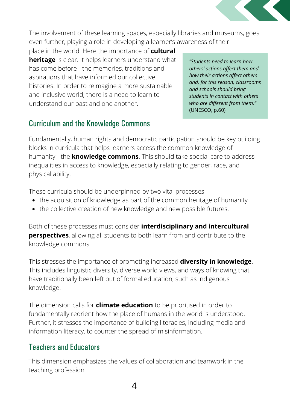

The involvement of these learning spaces, especially libraries and museums, goes even further, playing a role in developing a learner's awareness of their

place in the world. Here the importance of **cultural heritage** is clear. It helps learners understand what has come before - the memories, traditions and aspirations that have informed our collective histories. In order to reimagine a more sustainable and inclusive world, there is a need to learn to understand our past and one another.

*"Students need to learn how others' actions affect them and how their actions affect others and, for this reason, classrooms and schools should bring students in contact with others who are different from them."* (UNESCO, p.60)

#### Curriculum and the Knowledge Commons

Fundamentally, human rights and democratic participation should be key building blocks in curricula that helps learners access the common knowledge of humanity - the **knowledge commons**. This should take special care to address inequalities in access to knowledge, especially relating to gender, race, and physical ability.

These curricula should be underpinned by two vital processes:

- the acquisition of knowledge as part of the common heritage of humanity
- the collective creation of new knowledge and new possible futures.

Both of these processes must consider **interdisciplinary and intercultural perspectives**, allowing all students to both learn from and contribute to the knowledge commons.

This stresses the importance of promoting increased **diversity in knowledge**. This includes linguistic diversity, diverse world views, and ways of knowing that have traditionally been left out of formal education, such as indigenous knowledge.

The dimension calls for **climate education** to be prioritised in order to fundamentally reorient how the place of humans in the world is understood. Further, it stresses the importance of building literacies, including media and information literacy, to counter the spread of misinformation.

#### Teachers and Educators

This dimension emphasizes the values of collaboration and teamwork in the teaching profession.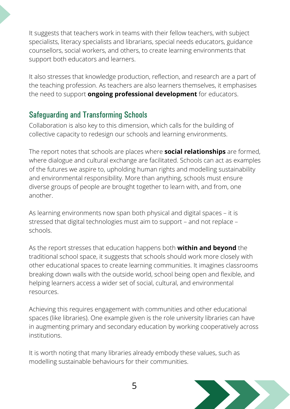It suggests that teachers work in teams with their fellow teachers, with subject specialists, literacy specialists and librarians, special needs educators, guidance counsellors, social workers, and others, to create learning environments that support both educators and learners.

It also stresses that knowledge production, reflection, and research are a part of the teaching profession. As teachers are also learners themselves, it emphasises the need to support **ongoing professional development** for educators.

## Safeguarding and Transforming Schools

Collaboration is also key to this dimension, which calls for the building of collective capacity to redesign our schools and learning environments.

The report notes that schools are places where **social relationships** are formed, where dialogue and cultural exchange are facilitated. Schools can act as examples of the futures we aspire to, upholding human rights and modelling sustainability and environmental responsibility. More than anything, schools must ensure diverse groups of people are brought together to learn with, and from, one another.

As learning environments now span both physical and digital spaces – it is stressed that digital technologies must aim to support – and not replace – schools.

As the report stresses that education happens both **within and beyond** the traditional school space, it suggests that schools should work more closely with other educational spaces to create learning communities. It imagines classrooms breaking down walls with the outside world, school being open and flexible, and helping learners access a wider set of social, cultural, and environmental resources.

Achieving this requires engagement with communities and other educational spaces (like libraries). One example given is the role university libraries can have in augmenting primary and secondary education by working cooperatively across institutions.

It is worth noting that many libraries already embody these values, such as modelling sustainable behaviours for their communities.

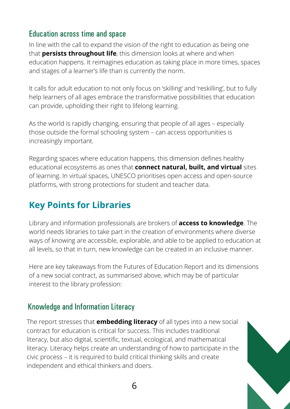#### Education across time and space

In line with the call to expand the vision of the right to education as being one that **persists throughout life**, this dimension looks at where and when education happens. It reimagines education as taking place in more times, spaces and stages of a learner's life than is currently the norm.

It calls for adult education to not only focus on 'skilling' and 'reskilling', but to fully help learners of all ages embrace the transformative possibilities that education can provide, upholding their right to lifelong learning.

As the world is rapidly changing, ensuring that people of all ages – especially those outside the formal schooling system – can access opportunities is increasingly important.

Regarding spaces where education happens, this dimension defines healthy educational ecosystems as ones that **connect natural, built, and virtual** sites of learning. In virtual spaces, UNESCO prioritises open access and open-source platforms, with strong protections for student and teacher data.

# **Key Points for Libraries**

Library and information professionals are brokers of **access to knowledge**. The world needs libraries to take part in the creation of environments where diverse ways of knowing are accessible, explorable, and able to be applied to education at all levels, so that in turn, new knowledge can be created in an inclusive manner.

Here are key takeaways from the Futures of Education Report and its dimensions of a new social contract, as summarised above, which may be of particular interest to the library profession:

#### Knowledge and Information Literacy

The report stresses that **embedding literacy** of all types into a new social contract for education is critical for success. This includes traditional literacy, but also digital, scientific, textual, ecological, and mathematical literacy. Literacy helps create an understanding of how to participate in the civic process – it is required to build critical thinking skills and create independent and ethical thinkers and doers.

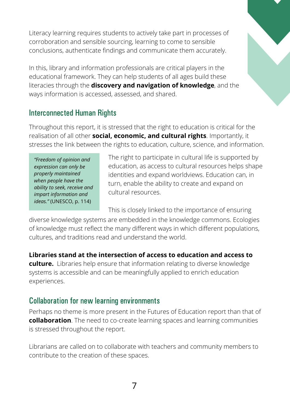Literacy learning requires students to actively take part in processes of corroboration and sensible sourcing, learning to come to sensible conclusions, authenticate findings and communicate them accurately.

In this, library and information professionals are critical players in the educational framework. They can help students of all ages build these literacies through the **discovery and navigation of knowledge**, and the ways information is accessed, assessed, and shared.



#### Interconnected Human Rights

Throughout this report, it is stressed that the right to education is critical for the realisation of all other **social, economic, and cultural rights**. Importantly, it stresses the link between the rights to education, culture, science, and information.

*"Freedom of opinion and expression can only be properly maintained when people have the ability to seek, receive and impart information and ideas."* (UNESCO, p. 114)

The right to participate in cultural life is supported by education, as access to cultural resources helps shape identities and expand worldviews. Education can, in turn, enable the ability to create and expand on cultural resources.

This is closely linked to the importance of ensuring

diverse knowledge systems are embedded in the knowledge commons. Ecologies of knowledge must reflect the many different ways in which different populations, cultures, and traditions read and understand the world.

**Libraries stand at the intersection of access to education and access to**

**culture.** Libraries help ensure that information relating to diverse knowledge systems is accessible and can be meaningfully applied to enrich education experiences.

#### Collaboration for new learning environments

Perhaps no theme is more present in the Futures of Education report than that of **collaboration**. The need to co-create learning spaces and learning communities is stressed throughout the report.

Librarians are called on to collaborate with teachers and community members to contribute to the creation of these spaces.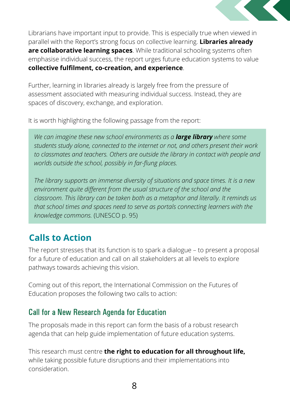

Librarians have important input to provide. This is especially true when viewed in parallel with the Report's strong focus on collective learning. **Libraries already are collaborative learning spaces**. While traditional schooling systems often emphasise individual success, the report urges future education systems to value **collective fulfilment, co-creation, and experience**.

Further, learning in libraries already is largely free from the pressure of assessment associated with measuring individual success. Instead, they are spaces of discovery, exchange, and exploration.

It is worth highlighting the following passage from the report:

*We can imagine these new school environments as a large library where some students study alone, connected to the internet or not, and others present their work to classmates and teachers. Others are outside the library in contact with people and worlds outside the school, possibly in far-flung places.*

*The library supports an immense diversity of situations and space times. It is a new environment quite different from the usual structure of the school and the classroom. This library can be taken both as a metaphor and literally. It reminds us that school times and spaces need to serve as portals connecting learners with the knowledge commons.* (UNESCO p. 95)

# **Calls to Action**

The report stresses that its function is to spark a dialogue – to present a proposal for a future of education and call on all stakeholders at all levels to explore pathways towards achieving this vision.

Coming out of this report, the International Commission on the Futures of Education proposes the following two calls to action:

#### Call for a New Research Agenda for Education

The proposals made in this report can form the basis of a robust research agenda that can help guide implementation of future education systems.

This research must centre **the right to education for all throughout life,** while taking possible future disruptions and their implementations into consideration.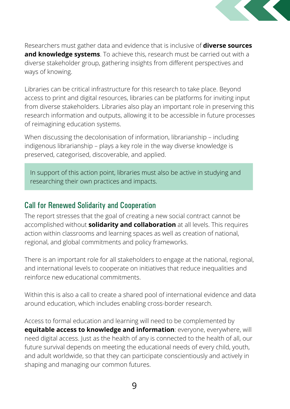

Researchers must gather data and evidence that is inclusive of **diverse sources and knowledge systems**. To achieve this, research must be carried out with a diverse stakeholder group, gathering insights from different perspectives and ways of knowing.

Libraries can be critical infrastructure for this research to take place. Beyond access to print and digital resources, libraries can be platforms for inviting input from diverse stakeholders. Libraries also play an important role in preserving this research information and outputs, allowing it to be accessible in future processes of reimagining education systems.

When discussing the decolonisation of information, librarianship – including indigenous librarianship – plays a key role in the way diverse knowledge is preserved, categorised, discoverable, and applied.

In support of this action point, libraries must also be active in studying and researching their own practices and impacts.

#### Call for Renewed Solidarity and Cooperation

The report stresses that the goal of creating a new social contract cannot be accomplished without **solidarity and collaboration** at all levels. This requires action within classrooms and learning spaces as well as creation of national, regional, and global commitments and policy frameworks.

There is an important role for all stakeholders to engage at the national, regional, and international levels to cooperate on initiatives that reduce inequalities and reinforce new educational commitments.

Within this is also a call to create a shared pool of international evidence and data around education, which includes enabling cross-border research.

Access to formal education and learning will need to be complemented by **equitable access to knowledge and information**: everyone, everywhere, will need digital access. Just as the health of any is connected to the health of all, our future survival depends on meeting the educational needs of every child, youth, and adult worldwide, so that they can participate conscientiously and actively in shaping and managing our common futures.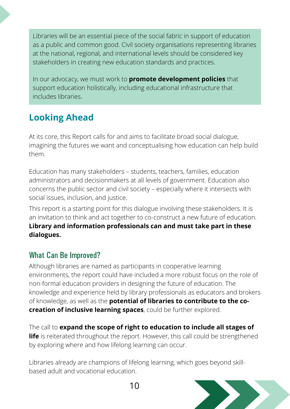Libraries will be an essential piece of the social fabric in support of education as a public and common good. Civil society organisations representing libraries at the national, regional, and international levels should be considered key stakeholders in creating new education standards and practices.

In our advocacy, we must work to **promote development policies** that support education holistically, including educational infrastructure that includes libraries.

# **Looking Ahead**

At its core, this Report calls for and aims to facilitate broad social dialogue, imagining the futures we want and conceptualising how education can help build them.

Education has many stakeholders – students, teachers, families, education administrators and decisionmakers at all levels of government. Education also concerns the public sector and civil society – especially where it intersects with social issues, inclusion, and justice.

This report is a starting point for this dialogue involving these stakeholders. It is an invitation to think and act together to co-construct a new future of education. **Library and information professionals can and must take part in these dialogues.**

#### What Can Be Improved?

Although libraries are named as participants in cooperative learning environments, the report could have included a more robust focus on the role of non-formal education providers in designing the future of education. The knowledge and experience held by library professionals as educators and brokers of knowledge, as well as the **potential of libraries to contribute to the cocreation of inclusive learning spaces**, could be further explored.

The call to **expand the scope of right to education to include all stages of life** is reiterated throughout the report. However, this call could be strengthened by exploring where and how lifelong learning can occur.

Libraries already are champions of lifelong learning, which goes beyond skillbased adult and vocational education.